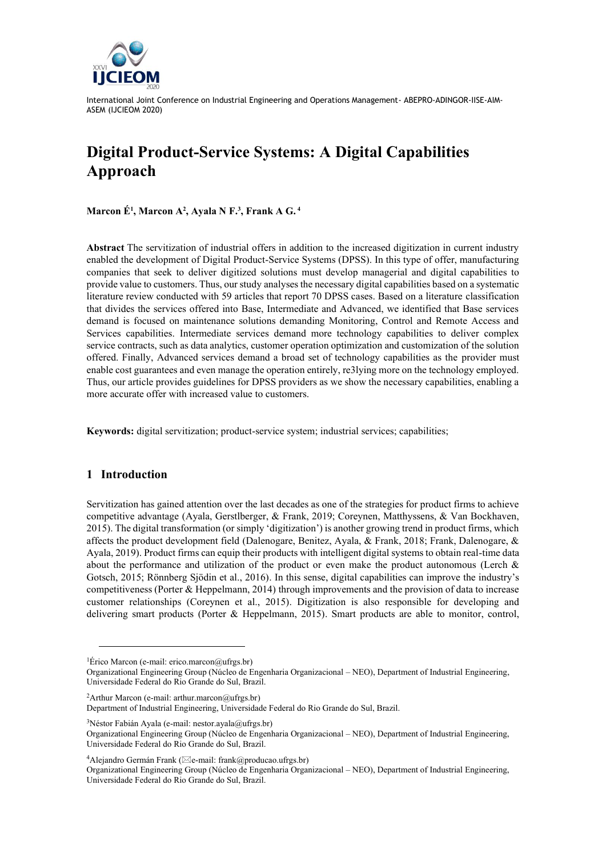

# **Digital Product-Service Systems: A Digital Capabilities Approach**

**Marcon É<sup>1</sup> , Marcon A<sup>2</sup> , Ayala N F.<sup>3</sup> , Frank A G. <sup>4</sup>**

**Abstract** The servitization of industrial offers in addition to the increased digitization in current industry enabled the development of Digital Product-Service Systems (DPSS). In this type of offer, manufacturing companies that seek to deliver digitized solutions must develop managerial and digital capabilities to provide value to customers. Thus, our study analyses the necessary digital capabilities based on a systematic literature review conducted with 59 articles that report 70 DPSS cases. Based on a literature classification that divides the services offered into Base, Intermediate and Advanced, we identified that Base services demand is focused on maintenance solutions demanding Monitoring, Control and Remote Access and Services capabilities. Intermediate services demand more technology capabilities to deliver complex service contracts, such as data analytics, customer operation optimization and customization of the solution offered. Finally, Advanced services demand a broad set of technology capabilities as the provider must enable cost guarantees and even manage the operation entirely, re3lying more on the technology employed. Thus, our article provides guidelines for DPSS providers as we show the necessary capabilities, enabling a more accurate offer with increased value to customers.

**Keywords:** digital servitization; product-service system; industrial services; capabilities;

# **1 Introduction**

Servitization has gained attention over the last decades as one of the strategies for product firms to achieve competitive advantage (Ayala, Gerstlberger, & Frank, 2019; Coreynen, Matthyssens, & Van Bockhaven, 2015). The digital transformation (or simply 'digitization') is another growing trend in product firms, which affects the product development field (Dalenogare, Benitez, Ayala, & Frank, 2018; Frank, Dalenogare, & Ayala, 2019). Product firms can equip their products with intelligent digital systems to obtain real-time data about the performance and utilization of the product or even make the product autonomous (Lerch & Gotsch, 2015; Rönnberg Sjödin et al., 2016). In this sense, digital capabilities can improve the industry's competitiveness (Porter & Heppelmann, 2014) through improvements and the provision of data to increase customer relationships (Coreynen et al., 2015). Digitization is also responsible for developing and delivering smart products (Porter & Heppelmann, 2015). Smart products are able to monitor, control,

<sup>2</sup>Arthur Marcon (e-mail: arthur.marcon@ufrgs.br)

<sup>3</sup>Néstor Fabián Ayala (e-mail: nestor.ayala@ufrgs.br)

<sup>&</sup>lt;sup>1</sup>Érico Marcon (e-mail: erico.marcon@ufrgs.br)

Organizational Engineering Group (Núcleo de Engenharia Organizacional – NEO), Department of Industrial Engineering, Universidade Federal do Rio Grande do Sul, Brazil.

Department of Industrial Engineering, Universidade Federal do Rio Grande do Sul, Brazil.

Organizational Engineering Group (Núcleo de Engenharia Organizacional – NEO), Department of Industrial Engineering, Universidade Federal do Rio Grande do Sul, Brazil.

<sup>&</sup>lt;sup>4</sup>Alejandro Germán Frank ( $\boxtimes$ e-mail: frank@producao.ufrgs.br)

Organizational Engineering Group (Núcleo de Engenharia Organizacional – NEO), Department of Industrial Engineering, Universidade Federal do Rio Grande do Sul, Brazil.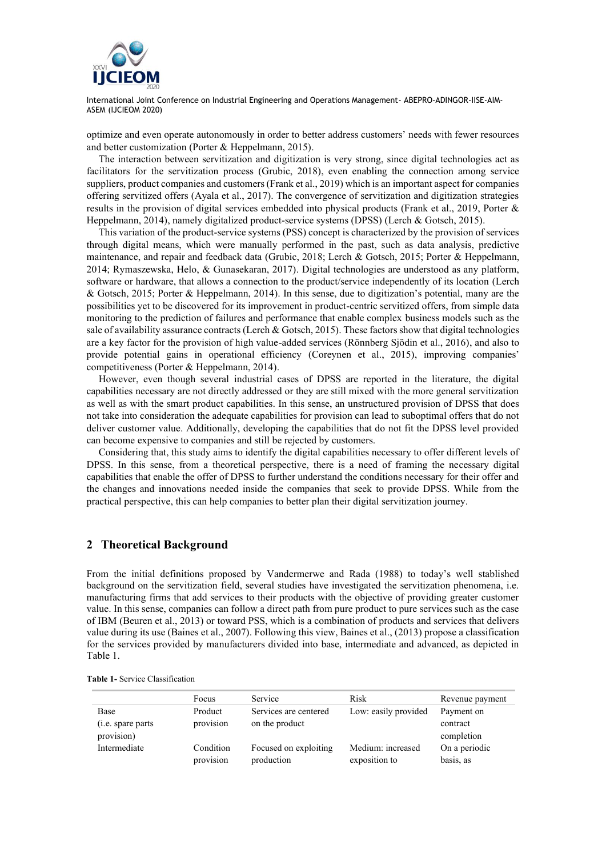

optimize and even operate autonomously in order to better address customers' needs with fewer resources and better customization (Porter & Heppelmann, 2015).

The interaction between servitization and digitization is very strong, since digital technologies act as facilitators for the servitization process (Grubic, 2018), even enabling the connection among service suppliers, product companies and customers (Frank et al., 2019) which is an important aspect for companies offering servitized offers (Ayala et al., 2017). The convergence of servitization and digitization strategies results in the provision of digital services embedded into physical products (Frank et al., 2019, Porter & Heppelmann, 2014), namely digitalized product-service systems (DPSS) (Lerch & Gotsch, 2015).

This variation of the product-service systems (PSS) concept is characterized by the provision of services through digital means, which were manually performed in the past, such as data analysis, predictive maintenance, and repair and feedback data (Grubic, 2018; Lerch & Gotsch, 2015; Porter & Heppelmann, 2014; Rymaszewska, Helo, & Gunasekaran, 2017). Digital technologies are understood as any platform, software or hardware, that allows a connection to the product/service independently of its location (Lerch & Gotsch, 2015; Porter & Heppelmann, 2014). In this sense, due to digitization's potential, many are the possibilities yet to be discovered for its improvement in product-centric servitized offers, from simple data monitoring to the prediction of failures and performance that enable complex business models such as the sale of availability assurance contracts (Lerch & Gotsch, 2015). These factors show that digital technologies are a key factor for the provision of high value-added services (Rönnberg Sjödin et al., 2016), and also to provide potential gains in operational efficiency (Coreynen et al., 2015), improving companies' competitiveness (Porter & Heppelmann, 2014).

However, even though several industrial cases of DPSS are reported in the literature, the digital capabilities necessary are not directly addressed or they are still mixed with the more general servitization as well as with the smart product capabilities. In this sense, an unstructured provision of DPSS that does not take into consideration the adequate capabilities for provision can lead to suboptimal offers that do not deliver customer value. Additionally, developing the capabilities that do not fit the DPSS level provided can become expensive to companies and still be rejected by customers.

Considering that, this study aims to identify the digital capabilities necessary to offer different levels of DPSS. In this sense, from a theoretical perspective, there is a need of framing the necessary digital capabilities that enable the offer of DPSS to further understand the conditions necessary for their offer and the changes and innovations needed inside the companies that seek to provide DPSS. While from the practical perspective, this can help companies to better plan their digital servitization journey.

## **2 Theoretical Background**

From the initial definitions proposed by Vandermerwe and Rada (1988) to today's well stablished background on the servitization field, several studies have investigated the servitization phenomena, i.e. manufacturing firms that add services to their products with the objective of providing greater customer value. In this sense, companies can follow a direct path from pure product to pure services such as the case of IBM (Beuren et al., 2013) or toward PSS, which is a combination of products and services that delivers value during its use (Baines et al., 2007). Following this view, Baines et al., (2013) propose a classification for the services provided by manufacturers divided into base, intermediate and advanced, as depicted in [Table 1.](#page-1-0)

|                    | Focus     | Service               | Risk                 | Revenue payment |
|--------------------|-----------|-----------------------|----------------------|-----------------|
| Base               | Product   | Services are centered | Low: easily provided | Payment on      |
| (i.e. spare parts) | provision | on the product        |                      | contract        |
| provision)         |           |                       |                      | completion      |
| Intermediate       | Condition | Focused on exploiting | Medium: increased    | On a periodic   |
|                    | provision | production            | exposition to        | basis, as       |

<span id="page-1-0"></span>**Table 1-** Service Classification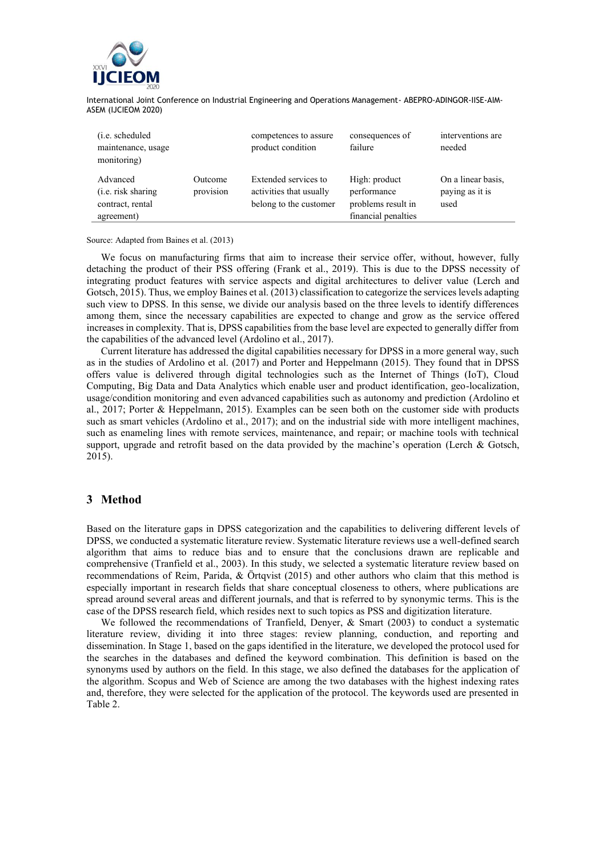

| ( <i>i.e.</i> scheduled<br>maintenance, usage<br>monitoring)     |                      | competences to assure<br>product condition                                | consequences of<br>failure                                                | interventions are<br>needed                   |
|------------------------------------------------------------------|----------------------|---------------------------------------------------------------------------|---------------------------------------------------------------------------|-----------------------------------------------|
| Advanced<br>(i.e. risk sharing<br>contract, rental<br>agreement) | Outcome<br>provision | Extended services to<br>activities that usually<br>belong to the customer | High: product<br>performance<br>problems result in<br>financial penalties | On a linear basis,<br>paying as it is<br>used |

#### Source: Adapted from Baines et al. (2013)

We focus on manufacturing firms that aim to increase their service offer, without, however, fully detaching the product of their PSS offering (Frank et al., 2019). This is due to the DPSS necessity of integrating product features with service aspects and digital architectures to deliver value (Lerch and Gotsch, 2015). Thus, we employ Baines et al. (2013) classification to categorize the services levels adapting such view to DPSS. In this sense, we divide our analysis based on the three levels to identify differences among them, since the necessary capabilities are expected to change and grow as the service offered increases in complexity. That is, DPSS capabilities from the base level are expected to generally differ from the capabilities of the advanced level (Ardolino et al., 2017).

Current literature has addressed the digital capabilities necessary for DPSS in a more general way, such as in the studies of Ardolino et al. (2017) and Porter and Heppelmann (2015). They found that in DPSS offers value is delivered through digital technologies such as the Internet of Things (IoT), Cloud Computing, Big Data and Data Analytics which enable user and product identification, geo-localization, usage/condition monitoring and even advanced capabilities such as autonomy and prediction (Ardolino et al., 2017; Porter & Heppelmann, 2015). Examples can be seen both on the customer side with products such as smart vehicles (Ardolino et al., 2017); and on the industrial side with more intelligent machines, such as enameling lines with remote services, maintenance, and repair; or machine tools with technical support, upgrade and retrofit based on the data provided by the machine's operation (Lerch & Gotsch, 2015).

## **3 Method**

Based on the literature gaps in DPSS categorization and the capabilities to delivering different levels of DPSS, we conducted a systematic literature review. Systematic literature reviews use a well-defined search algorithm that aims to reduce bias and to ensure that the conclusions drawn are replicable and comprehensive (Tranfield et al., 2003). In this study, we selected a systematic literature review based on recommendations of Reim, Parida, & Örtqvist (2015) and other authors who claim that this method is especially important in research fields that share conceptual closeness to others, where publications are spread around several areas and different journals, and that is referred to by synonymic terms. This is the case of the DPSS research field, which resides next to such topics as PSS and digitization literature.

We followed the recommendations of Tranfield, Denyer, & Smart (2003) to conduct a systematic literature review, dividing it into three stages: review planning, conduction, and reporting and dissemination. In Stage 1, based on the gaps identified in the literature, we developed the protocol used for the searches in the databases and defined the keyword combination. This definition is based on the synonyms used by authors on the field. In this stage, we also defined the databases for the application of the algorithm. Scopus and Web of Science are among the two databases with the highest indexing rates and, therefore, they were selected for the application of the protocol. The keywords used are presented in [Table 2.](#page-3-0)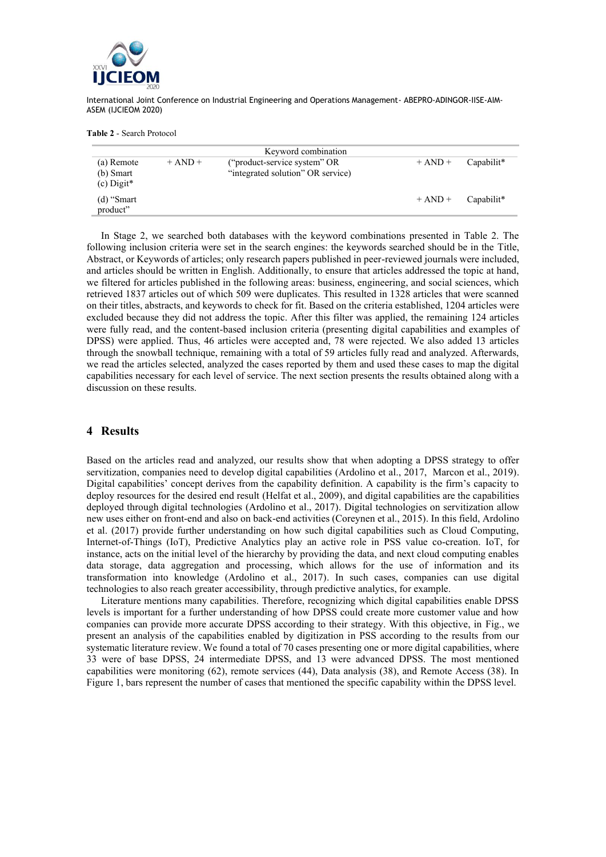

#### <span id="page-3-0"></span>**Table 2** - Search Protocol

| Keyword combination                     |             |                                                                   |             |            |  |  |  |
|-----------------------------------------|-------------|-------------------------------------------------------------------|-------------|------------|--|--|--|
| (a) Remote<br>(b) Smart<br>$(c)$ Digit* | $+$ AND $+$ | ("product-service system" OR<br>"integrated solution" OR service) | $+$ AND $+$ | Capabilit* |  |  |  |
| $(d)$ "Smart"<br>product"               |             |                                                                   | $+$ AND $+$ | Capabilit* |  |  |  |

In Stage 2, we searched both databases with the keyword combinations presented in Table 2. The following inclusion criteria were set in the search engines: the keywords searched should be in the Title, Abstract, or Keywords of articles; only research papers published in peer-reviewed journals were included, and articles should be written in English. Additionally, to ensure that articles addressed the topic at hand, we filtered for articles published in the following areas: business, engineering, and social sciences, which retrieved 1837 articles out of which 509 were duplicates. This resulted in 1328 articles that were scanned on their titles, abstracts, and keywords to check for fit. Based on the criteria established, 1204 articles were excluded because they did not address the topic. After this filter was applied, the remaining 124 articles were fully read, and the content-based inclusion criteria (presenting digital capabilities and examples of DPSS) were applied. Thus, 46 articles were accepted and, 78 were rejected. We also added 13 articles through the snowball technique, remaining with a total of 59 articles fully read and analyzed. Afterwards, we read the articles selected, analyzed the cases reported by them and used these cases to map the digital capabilities necessary for each level of service. The next section presents the results obtained along with a discussion on these results.

#### **4 Results**

Based on the articles read and analyzed, our results show that when adopting a DPSS strategy to offer servitization, companies need to develop digital capabilities (Ardolino et al., 2017, Marcon et al., 2019). Digital capabilities' concept derives from the capability definition. A capability is the firm's capacity to deploy resources for the desired end result (Helfat et al., 2009), and digital capabilities are the capabilities deployed through digital technologies (Ardolino et al., 2017). Digital technologies on servitization allow new uses either on front-end and also on back-end activities (Coreynen et al., 2015). In this field, Ardolino et al. (2017) provide further understanding on how such digital capabilities such as Cloud Computing, Internet-of-Things (IoT), Predictive Analytics play an active role in PSS value co-creation. IoT, for instance, acts on the initial level of the hierarchy by providing the data, and next cloud computing enables data storage, data aggregation and processing, which allows for the use of information and its transformation into knowledge (Ardolino et al., 2017). In such cases, companies can use digital technologies to also reach greater accessibility, through predictive analytics, for example.

Literature mentions many capabilities. Therefore, recognizing which digital capabilities enable DPSS levels is important for a further understanding of how DPSS could create more customer value and how companies can provide more accurate DPSS according to their strategy. With this objective, in [Fig.,](#page-4-0) we present an analysis of the capabilities enabled by digitization in PSS according to the results from our systematic literature review. We found a total of 70 cases presenting one or more digital capabilities, where 33 were of base DPSS, 24 intermediate DPSS, and 13 were advanced DPSS. The most mentioned capabilities were monitoring (62), remote services (44), Data analysis (38), and Remote Access (38). In Figure 1, bars represent the number of cases that mentioned the specific capability within the DPSS level.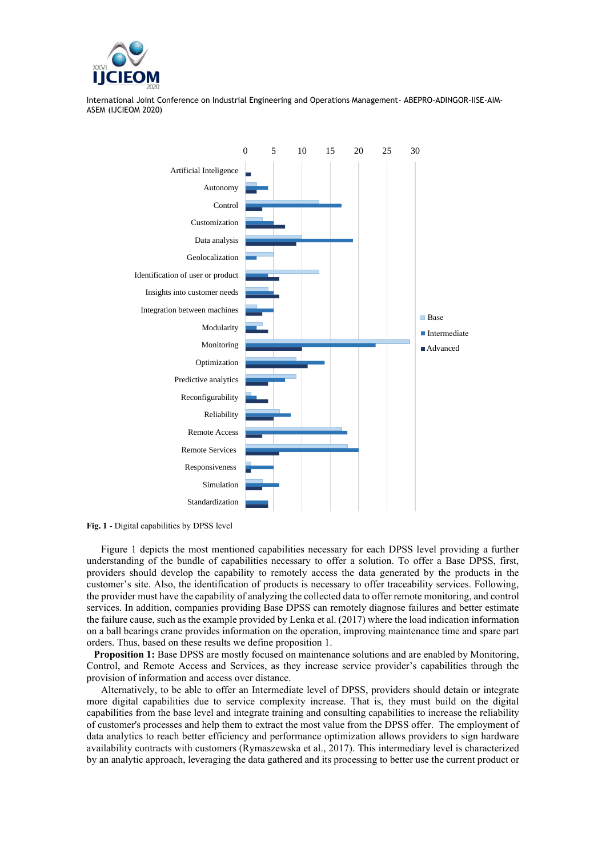



<span id="page-4-0"></span>**Fig. 1** - Digital capabilities by DPSS level

Figure 1 depicts the most mentioned capabilities necessary for each DPSS level providing a further understanding of the bundle of capabilities necessary to offer a solution. To offer a Base DPSS, first, providers should develop the capability to remotely access the data generated by the products in the customer's site. Also, the identification of products is necessary to offer traceability services. Following, the provider must have the capability of analyzing the collected data to offer remote monitoring, and control services. In addition, companies providing Base DPSS can remotely diagnose failures and better estimate the failure cause, such as the example provided by Lenka et al. (2017) where the load indication information on a ball bearings crane provides information on the operation, improving maintenance time and spare part orders. Thus, based on these results we define proposition 1.

**Proposition 1:** Base DPSS are mostly focused on maintenance solutions and are enabled by Monitoring, Control, and Remote Access and Services, as they increase service provider's capabilities through the provision of information and access over distance.

Alternatively, to be able to offer an Intermediate level of DPSS, providers should detain or integrate more digital capabilities due to service complexity increase. That is, they must build on the digital capabilities from the base level and integrate training and consulting capabilities to increase the reliability of customer's processes and help them to extract the most value from the DPSS offer. The employment of data analytics to reach better efficiency and performance optimization allows providers to sign hardware availability contracts with customers (Rymaszewska et al., 2017). This intermediary level is characterized by an analytic approach, leveraging the data gathered and its processing to better use the current product or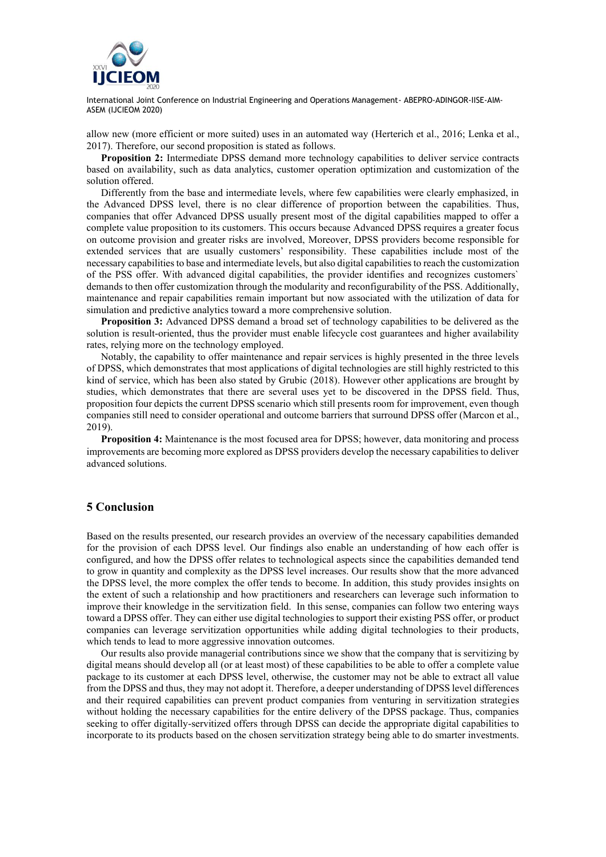

allow new (more efficient or more suited) uses in an automated way (Herterich et al., 2016; Lenka et al., 2017). Therefore, our second proposition is stated as follows.

**Proposition 2:** Intermediate DPSS demand more technology capabilities to deliver service contracts based on availability, such as data analytics, customer operation optimization and customization of the solution offered.

Differently from the base and intermediate levels, where few capabilities were clearly emphasized, in the Advanced DPSS level, there is no clear difference of proportion between the capabilities. Thus, companies that offer Advanced DPSS usually present most of the digital capabilities mapped to offer a complete value proposition to its customers. This occurs because Advanced DPSS requires a greater focus on outcome provision and greater risks are involved, Moreover, DPSS providers become responsible for extended services that are usually customers' responsibility. These capabilities include most of the necessary capabilities to base and intermediate levels, but also digital capabilities to reach the customization of the PSS offer. With advanced digital capabilities, the provider identifies and recognizes customers` demands to then offer customization through the modularity and reconfigurability of the PSS. Additionally, maintenance and repair capabilities remain important but now associated with the utilization of data for simulation and predictive analytics toward a more comprehensive solution.

**Proposition 3:** Advanced DPSS demand a broad set of technology capabilities to be delivered as the solution is result-oriented, thus the provider must enable lifecycle cost guarantees and higher availability rates, relying more on the technology employed.

Notably, the capability to offer maintenance and repair services is highly presented in the three levels of DPSS, which demonstrates that most applications of digital technologies are still highly restricted to this kind of service, which has been also stated by Grubic (2018). However other applications are brought by studies, which demonstrates that there are several uses yet to be discovered in the DPSS field. Thus, proposition four depicts the current DPSS scenario which still presents room for improvement, even though companies still need to consider operational and outcome barriers that surround DPSS offer (Marcon et al., 2019).

**Proposition 4:** Maintenance is the most focused area for DPSS; however, data monitoring and process improvements are becoming more explored as DPSS providers develop the necessary capabilities to deliver advanced solutions.

## **5 Conclusion**

Based on the results presented, our research provides an overview of the necessary capabilities demanded for the provision of each DPSS level. Our findings also enable an understanding of how each offer is configured, and how the DPSS offer relates to technological aspects since the capabilities demanded tend to grow in quantity and complexity as the DPSS level increases. Our results show that the more advanced the DPSS level, the more complex the offer tends to become. In addition, this study provides insights on the extent of such a relationship and how practitioners and researchers can leverage such information to improve their knowledge in the servitization field. In this sense, companies can follow two entering ways toward a DPSS offer. They can either use digital technologies to support their existing PSS offer, or product companies can leverage servitization opportunities while adding digital technologies to their products, which tends to lead to more aggressive innovation outcomes.

Our results also provide managerial contributions since we show that the company that is servitizing by digital means should develop all (or at least most) of these capabilities to be able to offer a complete value package to its customer at each DPSS level, otherwise, the customer may not be able to extract all value from the DPSS and thus, they may not adopt it. Therefore, a deeper understanding of DPSS level differences and their required capabilities can prevent product companies from venturing in servitization strategies without holding the necessary capabilities for the entire delivery of the DPSS package. Thus, companies seeking to offer digitally-servitized offers through DPSS can decide the appropriate digital capabilities to incorporate to its products based on the chosen servitization strategy being able to do smarter investments.